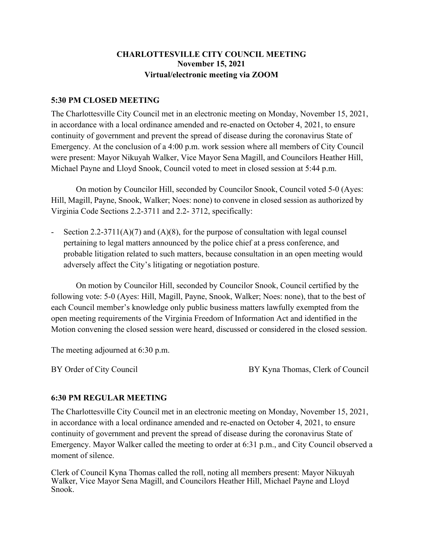# **CHARLOTTESVILLE CITY COUNCIL MEETING November 15, 2021 Virtual/electronic meeting via ZOOM**

#### **5:30 PM CLOSED MEETING**

The Charlottesville City Council met in an electronic meeting on Monday, November 15, 2021, in accordance with a local ordinance amended and re-enacted on October 4, 2021, to ensure continuity of government and prevent the spread of disease during the coronavirus State of Emergency. At the conclusion of a 4:00 p.m. work session where all members of City Council were present: Mayor Nikuyah Walker, Vice Mayor Sena Magill, and Councilors Heather Hill, Michael Payne and Lloyd Snook, Council voted to meet in closed session at 5:44 p.m.

On motion by Councilor Hill, seconded by Councilor Snook, Council voted 5-0 (Ayes: Hill, Magill, Payne, Snook, Walker; Noes: none) to convene in closed session as authorized by Virginia Code Sections 2.2-3711 and 2.2- 3712, specifically:

Section 2.2-3711(A)(7) and (A)(8), for the purpose of consultation with legal counsel pertaining to legal matters announced by the police chief at a press conference, and probable litigation related to such matters, because consultation in an open meeting would adversely affect the City's litigating or negotiation posture.

On motion by Councilor Hill, seconded by Councilor Snook, Council certified by the following vote: 5-0 (Ayes: Hill, Magill, Payne, Snook, Walker; Noes: none), that to the best of each Council member's knowledge only public business matters lawfully exempted from the open meeting requirements of the Virginia Freedom of Information Act and identified in the Motion convening the closed session were heard, discussed or considered in the closed session.

The meeting adjourned at 6:30 p.m.

BY Order of City Council **BY Kyna Thomas, Clerk of Council** 

#### **6:30 PM REGULAR MEETING**

The Charlottesville City Council met in an electronic meeting on Monday, November 15, 2021, in accordance with a local ordinance amended and re-enacted on October 4, 2021, to ensure continuity of government and prevent the spread of disease during the coronavirus State of Emergency. Mayor Walker called the meeting to order at 6:31 p.m., and City Council observed a moment of silence.

Clerk of Council Kyna Thomas called the roll, noting all members present: Mayor Nikuyah Walker, Vice Mayor Sena Magill, and Councilors Heather Hill, Michael Payne and Lloyd Snook.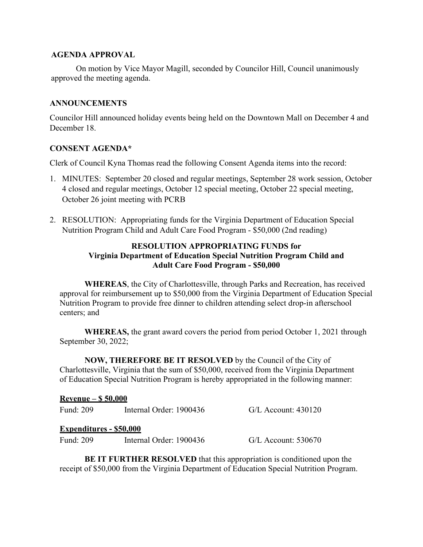#### **AGENDA APPROVAL**

On motion by Vice Mayor Magill, seconded by Councilor Hill, Council unanimously approved the meeting agenda.

### **ANNOUNCEMENTS**

Councilor Hill announced holiday events being held on the Downtown Mall on December 4 and December 18.

# **CONSENT AGENDA\***

Clerk of Council Kyna Thomas read the following Consent Agenda items into the record:

- 1. MINUTES: September 20 closed and regular meetings, September 28 work session, October 4 closed and regular meetings, October 12 special meeting, October 22 special meeting, October 26 joint meeting with PCRB
- 2. RESOLUTION: Appropriating funds for the Virginia Department of Education Special Nutrition Program Child and Adult Care Food Program - \$50,000 (2nd reading)

# **RESOLUTION APPROPRIATING FUNDS for Virginia Department of Education Special Nutrition Program Child and Adult Care Food Program - \$50,000**

**WHEREAS**, the City of Charlottesville, through Parks and Recreation, has received approval for reimbursement up to \$50,000 from the Virginia Department of Education Special Nutrition Program to provide free dinner to children attending select drop-in afterschool centers; and

**WHEREAS,** the grant award covers the period from period October 1, 2021 through September 30, 2022;

**NOW, THEREFORE BE IT RESOLVED** by the Council of the City of Charlottesville, Virginia that the sum of \$50,000, received from the Virginia Department of Education Special Nutrition Program is hereby appropriated in the following manner:

| <u> Revenue – \$ 50.000</u>    |                         |                       |  |  |  |
|--------------------------------|-------------------------|-----------------------|--|--|--|
| Fund: 209                      | Internal Order: 1900436 | $G/L$ Account: 430120 |  |  |  |
| <u>Expenditures - \$50.000</u> |                         |                       |  |  |  |
| <b>Fund: 209</b>               | Internal Order: 1900436 | $G/L$ Account: 530670 |  |  |  |

**BE IT FURTHER RESOLVED** that this appropriation is conditioned upon the receipt of \$50,000 from the Virginia Department of Education Special Nutrition Program.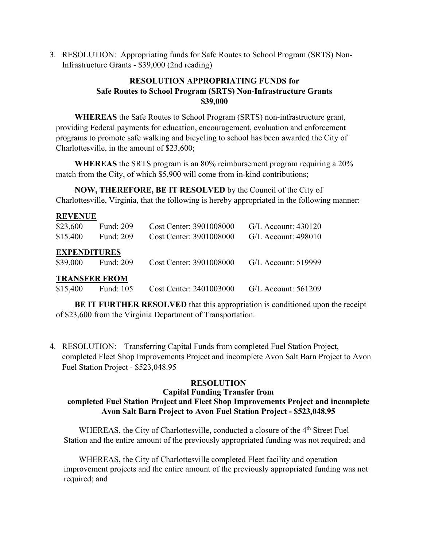3. RESOLUTION: Appropriating funds for Safe Routes to School Program (SRTS) Non-Infrastructure Grants - \$39,000 (2nd reading)

# **RESOLUTION APPROPRIATING FUNDS for Safe Routes to School Program (SRTS) Non-Infrastructure Grants \$39,000**

**WHEREAS** the Safe Routes to School Program (SRTS) non-infrastructure grant, providing Federal payments for education, encouragement, evaluation and enforcement programs to promote safe walking and bicycling to school has been awarded the City of Charlottesville, in the amount of \$23,600;

**WHEREAS** the SRTS program is an 80% reimbursement program requiring a 20% match from the City, of which \$5,900 will come from in-kind contributions;

**NOW, THEREFORE, BE IT RESOLVED** by the Council of the City of Charlottesville, Virginia, that the following is hereby appropriated in the following manner:

| <b>REVENUE</b>       |           |                         |                       |  |  |
|----------------------|-----------|-------------------------|-----------------------|--|--|
| \$23,600             | Fund: 209 | Cost Center: 3901008000 | $G/L$ Account: 430120 |  |  |
| \$15,400             | Fund: 209 | Cost Center: 3901008000 | $G/L$ Account: 498010 |  |  |
| <b>EXPENDITURES</b>  |           |                         |                       |  |  |
| \$39,000             | Fund: 209 | Cost Center: 3901008000 | G/L Account: 519999   |  |  |
| <b>TRANSFER FROM</b> |           |                         |                       |  |  |
| \$15,400             | Fund: 105 | Cost Center: 2401003000 | $G/L$ Account: 561209 |  |  |

**BE IT FURTHER RESOLVED** that this appropriation is conditioned upon the receipt of \$23,600 from the Virginia Department of Transportation.

4. RESOLUTION: Transferring Capital Funds from completed Fuel Station Project, completed Fleet Shop Improvements Project and incomplete Avon Salt Barn Project to Avon Fuel Station Project - \$523,048.95

#### **RESOLUTION**

#### **Capital Funding Transfer from completed Fuel Station Project and Fleet Shop Improvements Project and incomplete Avon Salt Barn Project to Avon Fuel Station Project - \$523,048.95**

WHEREAS, the City of Charlottesville, conducted a closure of the 4<sup>th</sup> Street Fuel Station and the entire amount of the previously appropriated funding was not required; and

WHEREAS, the City of Charlottesville completed Fleet facility and operation improvement projects and the entire amount of the previously appropriated funding was not required; and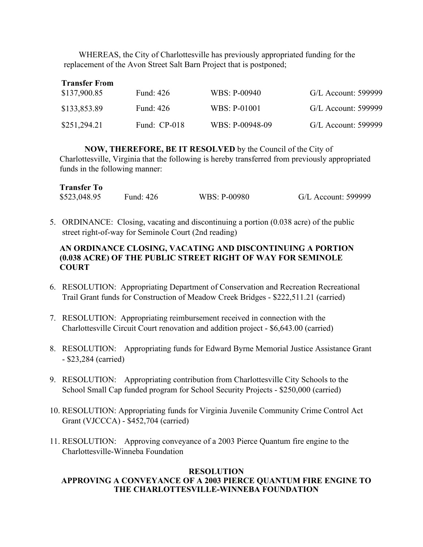WHEREAS, the City of Charlottesville has previously appropriated funding for the replacement of the Avon Street Salt Barn Project that is postponed;

| <b>Transfer From</b> |                |                 |                     |  |  |  |
|----------------------|----------------|-----------------|---------------------|--|--|--|
| \$137,900.85         | Fund: 426      | WBS: P-00940    | G/L Account: 599999 |  |  |  |
| \$133,853.89         | Fund: 426      | WBS: P-01001    | G/L Account: 599999 |  |  |  |
| \$251,294.21         | Fund: $CP-018$ | WBS: P-00948-09 | G/L Account: 599999 |  |  |  |

**NOW, THEREFORE, BE IT RESOLVED** by the Council of the City of Charlottesville, Virginia that the following is hereby transferred from previously appropriated funds in the following manner:

| <b>Transfer To</b> |           |              |                     |
|--------------------|-----------|--------------|---------------------|
| \$523,048.95       | Fund: 426 | WBS: P-00980 | G/L Account: 599999 |

5. ORDINANCE: Closing, vacating and discontinuing a portion (0.038 acre) of the public street right-of-way for Seminole Court (2nd reading)

### **AN ORDINANCE CLOSING, VACATING AND DISCONTINUING A PORTION (0.038 ACRE) OF THE PUBLIC STREET RIGHT OF WAY FOR SEMINOLE COURT**

- 6. RESOLUTION: Appropriating Department of Conservation and Recreation Recreational Trail Grant funds for Construction of Meadow Creek Bridges - \$222,511.21 (carried)
- 7. RESOLUTION: Appropriating reimbursement received in connection with the Charlottesville Circuit Court renovation and addition project - \$6,643.00 (carried)
- 8. RESOLUTION: Appropriating funds for Edward Byrne Memorial Justice Assistance Grant - \$23,284 (carried)
- 9. RESOLUTION: Appropriating contribution from Charlottesville City Schools to the School Small Cap funded program for School Security Projects - \$250,000 (carried)
- 10. RESOLUTION: Appropriating funds for Virginia Juvenile Community Crime Control Act Grant (VJCCCA) - \$452,704 (carried)
- 11. RESOLUTION: Approving conveyance of a 2003 Pierce Quantum fire engine to the Charlottesville-Winneba Foundation

#### **RESOLUTION**

# **APPROVING A CONVEYANCE OF A 2003 PIERCE QUANTUM FIRE ENGINE TO THE CHARLOTTESVILLE-WINNEBA FOUNDATION**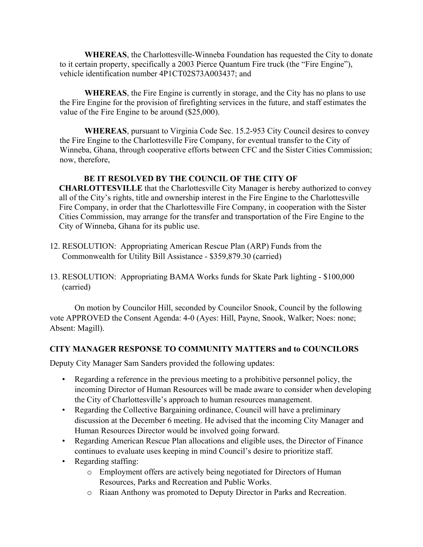**WHEREAS**, the Charlottesville-Winneba Foundation has requested the City to donate to it certain property, specifically a 2003 Pierce Quantum Fire truck (the "Fire Engine"), vehicle identification number 4P1CT02S73A003437; and

**WHEREAS**, the Fire Engine is currently in storage, and the City has no plans to use the Fire Engine for the provision of firefighting services in the future, and staff estimates the value of the Fire Engine to be around (\$25,000).

**WHEREAS**, pursuant to Virginia Code Sec. 15.2-953 City Council desires to convey the Fire Engine to the Charlottesville Fire Company, for eventual transfer to the City of Winneba, Ghana, through cooperative efforts between CFC and the Sister Cities Commission; now, therefore,

# **BE IT RESOLVED BY THE COUNCIL OF THE CITY OF**

**CHARLOTTESVILLE** that the Charlottesville City Manager is hereby authorized to convey all of the City's rights, title and ownership interest in the Fire Engine to the Charlottesville Fire Company, in order that the Charlottesville Fire Company, in cooperation with the Sister Cities Commission, may arrange for the transfer and transportation of the Fire Engine to the City of Winneba, Ghana for its public use.

- 12. RESOLUTION: Appropriating American Rescue Plan (ARP) Funds from the Commonwealth for Utility Bill Assistance - \$359,879.30 (carried)
- 13. RESOLUTION: Appropriating BAMA Works funds for Skate Park lighting \$100,000 (carried)

On motion by Councilor Hill, seconded by Councilor Snook, Council by the following vote APPROVED the Consent Agenda: 4-0 (Ayes: Hill, Payne, Snook, Walker; Noes: none; Absent: Magill).

#### **CITY MANAGER RESPONSE TO COMMUNITY MATTERS and to COUNCILORS**

Deputy City Manager Sam Sanders provided the following updates:

- Regarding a reference in the previous meeting to a prohibitive personnel policy, the incoming Director of Human Resources will be made aware to consider when developing the City of Charlottesville's approach to human resources management.
- Regarding the Collective Bargaining ordinance, Council will have a preliminary discussion at the December 6 meeting. He advised that the incoming City Manager and Human Resources Director would be involved going forward.
- Regarding American Rescue Plan allocations and eligible uses, the Director of Finance continues to evaluate uses keeping in mind Council's desire to prioritize staff.
- Regarding staffing:
	- o Employment offers are actively being negotiated for Directors of Human Resources, Parks and Recreation and Public Works.
	- o Riaan Anthony was promoted to Deputy Director in Parks and Recreation.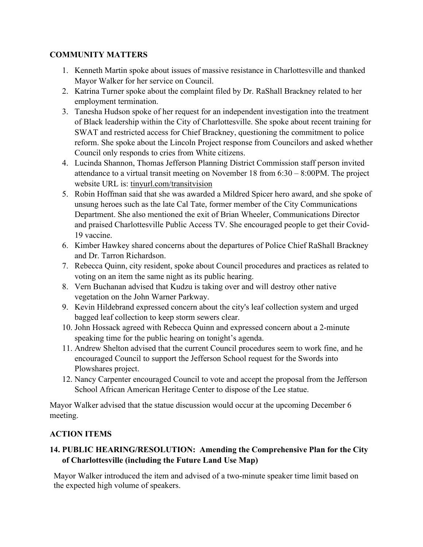# **COMMUNITY MATTERS**

- 1. Kenneth Martin spoke about issues of massive resistance in Charlottesville and thanked Mayor Walker for her service on Council.
- 2. Katrina Turner spoke about the complaint filed by Dr. RaShall Brackney related to her employment termination.
- 3. Tanesha Hudson spoke of her request for an independent investigation into the treatment of Black leadership within the City of Charlottesville. She spoke about recent training for SWAT and restricted access for Chief Brackney, questioning the commitment to police reform. She spoke about the Lincoln Project response from Councilors and asked whether Council only responds to cries from White citizens.
- 4. Lucinda Shannon, Thomas Jefferson Planning District Commission staff person invited attendance to a virtual transit meeting on November 18 from 6:30 – 8:00PM. The project website URL is: tinyurl.com/transitvision
- 5. Robin Hoffman said that she was awarded a Mildred Spicer hero award, and she spoke of unsung heroes such as the late Cal Tate, former member of the City Communications Department. She also mentioned the exit of Brian Wheeler, Communications Director and praised Charlottesville Public Access TV. She encouraged people to get their Covid-19 vaccine.
- 6. Kimber Hawkey shared concerns about the departures of Police Chief RaShall Brackney and Dr. Tarron Richardson.
- 7. Rebecca Quinn, city resident, spoke about Council procedures and practices as related to voting on an item the same night as its public hearing.
- 8. Vern Buchanan advised that Kudzu is taking over and will destroy other native vegetation on the John Warner Parkway.
- 9. Kevin Hildebrand expressed concern about the city's leaf collection system and urged bagged leaf collection to keep storm sewers clear.
- 10. John Hossack agreed with Rebecca Quinn and expressed concern about a 2-minute speaking time for the public hearing on tonight's agenda.
- 11. Andrew Shelton advised that the current Council procedures seem to work fine, and he encouraged Council to support the Jefferson School request for the Swords into Plowshares project.
- 12. Nancy Carpenter encouraged Council to vote and accept the proposal from the Jefferson School African American Heritage Center to dispose of the Lee statue.

Mayor Walker advised that the statue discussion would occur at the upcoming December 6 meeting.

# **ACTION ITEMS**

# **14. PUBLIC HEARING/RESOLUTION: Amending the Comprehensive Plan for the City of Charlottesville (including the Future Land Use Map)**

Mayor Walker introduced the item and advised of a two-minute speaker time limit based on the expected high volume of speakers.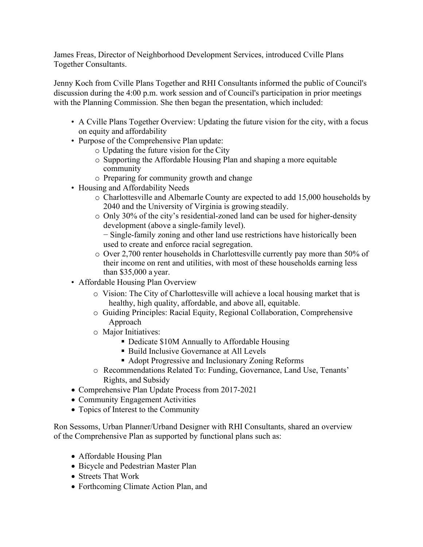James Freas, Director of Neighborhood Development Services, introduced Cville Plans Together Consultants.

Jenny Koch from Cville Plans Together and RHI Consultants informed the public of Council's discussion during the 4:00 p.m. work session and of Council's participation in prior meetings with the Planning Commission. She then began the presentation, which included:

- A Cville Plans Together Overview: Updating the future vision for the city, with a focus on equity and affordability
- Purpose of the Comprehensive Plan update:
	- o Updating the future vision for the City
	- o Supporting the Affordable Housing Plan and shaping a more equitable community
	- o Preparing for community growth and change
- Housing and Affordability Needs
	- o Charlottesville and Albemarle County are expected to add 15,000 households by 2040 and the University of Virginia is growing steadily.
	- o Only 30% of the city's residential-zoned land can be used for higher-density development (above a single-family level).

− Single-family zoning and other land use restrictions have historically been used to create and enforce racial segregation.

- o Over 2,700 renter households in Charlottesville currently pay more than 50% of their income on rent and utilities, with most of these households earning less than \$35,000 a year.
- Affordable Housing Plan Overview
	- o Vision: The City of Charlottesville will achieve a local housing market that is healthy, high quality, affordable, and above all, equitable.
	- o Guiding Principles: Racial Equity, Regional Collaboration, Comprehensive Approach
	- o Major Initiatives:
		- Dedicate \$10M Annually to Affordable Housing
		- Build Inclusive Governance at All Levels
		- Adopt Progressive and Inclusionary Zoning Reforms
	- o Recommendations Related To: Funding, Governance, Land Use, Tenants' Rights, and Subsidy
- Comprehensive Plan Update Process from 2017-2021
- Community Engagement Activities
- Topics of Interest to the Community

Ron Sessoms, Urban Planner/Urband Designer with RHI Consultants, shared an overview of the Comprehensive Plan as supported by functional plans such as:

- Affordable Housing Plan
- Bicycle and Pedestrian Master Plan
- Streets That Work
- Forthcoming Climate Action Plan, and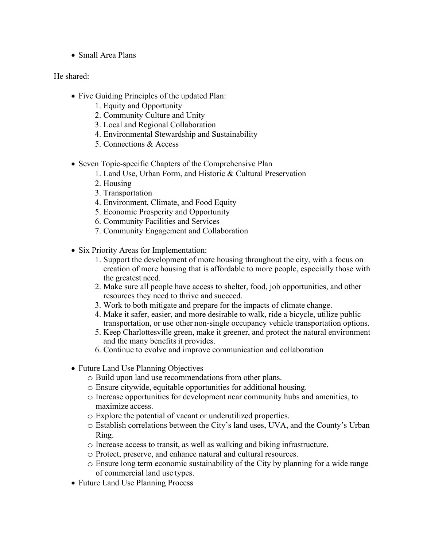• Small Area Plans

### He shared:

- Five Guiding Principles of the updated Plan:
	- 1. Equity and Opportunity
	- 2. Community Culture and Unity
	- 3. Local and Regional Collaboration
	- 4. Environmental Stewardship and Sustainability
	- 5. Connections & Access
- Seven Topic-specific Chapters of the Comprehensive Plan
	- 1. Land Use, Urban Form, and Historic & Cultural Preservation
	- 2. Housing
	- 3. Transportation
	- 4. Environment, Climate, and Food Equity
	- 5. Economic Prosperity and Opportunity
	- 6. Community Facilities and Services
	- 7. Community Engagement and Collaboration
- Six Priority Areas for Implementation:
	- 1. Support the development of more housing throughout the city, with a focus on creation of more housing that is affordable to more people, especially those with the greatest need.
	- 2. Make sure all people have access to shelter, food, job opportunities, and other resources they need to thrive and succeed.
	- 3. Work to both mitigate and prepare for the impacts of climate change.
	- 4. Make it safer, easier, and more desirable to walk, ride a bicycle, utilize public transportation, or use other non-single occupancy vehicle transportation options.
	- 5. Keep Charlottesville green, make it greener, and protect the natural environment and the many benefits it provides.
	- 6. Continue to evolve and improve communication and collaboration
- Future Land Use Planning Objectives
	- o Build upon land use recommendations from other plans.
	- o Ensure citywide, equitable opportunities for additional housing.
	- o Increase opportunities for development near community hubs and amenities, to maximize access.
	- o Explore the potential of vacant or underutilized properties.
	- o Establish correlations between the City's land uses, UVA, and the County's Urban Ring.
	- o Increase access to transit, as well as walking and biking infrastructure.
	- o Protect, preserve, and enhance natural and cultural resources.
	- o Ensure long term economic sustainability of the City by planning for a wide range of commercial land use types.
- Future Land Use Planning Process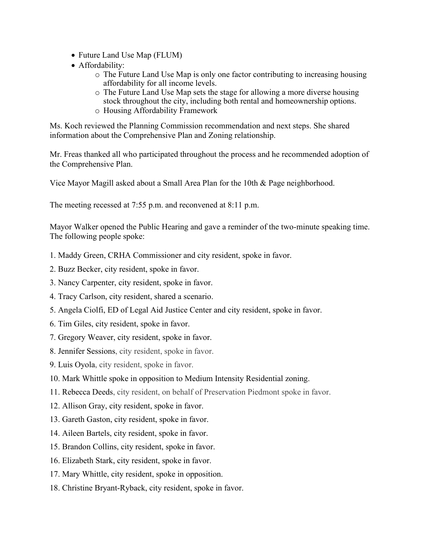- Future Land Use Map (FLUM)
- Affordability:
	- o The Future Land Use Map is only one factor contributing to increasing housing affordability for all income levels.
	- o The Future Land Use Map sets the stage for allowing a more diverse housing stock throughout the city, including both rental and homeownership options.
	- o Housing Affordability Framework

Ms. Koch reviewed the Planning Commission recommendation and next steps. She shared information about the Comprehensive Plan and Zoning relationship.

Mr. Freas thanked all who participated throughout the process and he recommended adoption of the Comprehensive Plan.

Vice Mayor Magill asked about a Small Area Plan for the 10th & Page neighborhood.

The meeting recessed at 7:55 p.m. and reconvened at 8:11 p.m.

Mayor Walker opened the Public Hearing and gave a reminder of the two-minute speaking time. The following people spoke:

- 1. Maddy Green, CRHA Commissioner and city resident, spoke in favor.
- 2. Buzz Becker, city resident, spoke in favor.
- 3. Nancy Carpenter, city resident, spoke in favor.
- 4. Tracy Carlson, city resident, shared a scenario.
- 5. Angela Ciolfi, ED of Legal Aid Justice Center and city resident, spoke in favor.
- 6. Tim Giles, city resident, spoke in favor.
- 7. Gregory Weaver, city resident, spoke in favor.
- 8. Jennifer Sessions, city resident, spoke in favor.
- 9. Luis Oyola, city resident, spoke in favor.
- 10. Mark Whittle spoke in opposition to Medium Intensity Residential zoning.
- 11. Rebecca Deeds, city resident, on behalf of Preservation Piedmont spoke in favor.
- 12. Allison Gray, city resident, spoke in favor.
- 13. Gareth Gaston, city resident, spoke in favor.
- 14. Aileen Bartels, city resident, spoke in favor.
- 15. Brandon Collins, city resident, spoke in favor.
- 16. Elizabeth Stark, city resident, spoke in favor.
- 17. Mary Whittle, city resident, spoke in opposition.
- 18. Christine Bryant-Ryback, city resident, spoke in favor.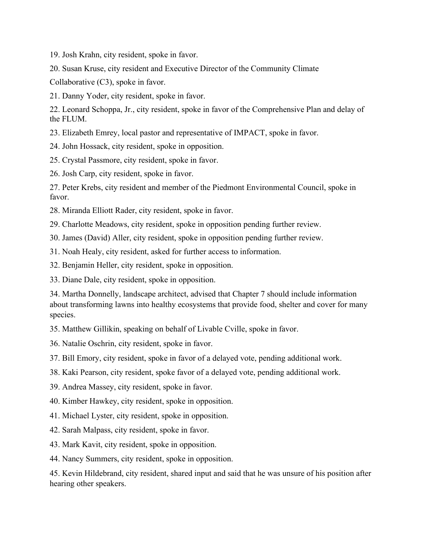19. Josh Krahn, city resident, spoke in favor.

20. Susan Kruse, city resident and Executive Director of the Community Climate

Collaborative (C3), spoke in favor.

21. Danny Yoder, city resident, spoke in favor.

22. Leonard Schoppa, Jr., city resident, spoke in favor of the Comprehensive Plan and delay of the FLUM.

23. Elizabeth Emrey, local pastor and representative of IMPACT, spoke in favor.

24. John Hossack, city resident, spoke in opposition.

25. Crystal Passmore, city resident, spoke in favor.

26. Josh Carp, city resident, spoke in favor.

27. Peter Krebs, city resident and member of the Piedmont Environmental Council, spoke in favor.

28. Miranda Elliott Rader, city resident, spoke in favor.

29. Charlotte Meadows, city resident, spoke in opposition pending further review.

30. James (David) Aller, city resident, spoke in opposition pending further review.

31. Noah Healy, city resident, asked for further access to information.

32. Benjamin Heller, city resident, spoke in opposition.

33. Diane Dale, city resident, spoke in opposition.

34. Martha Donnelly, landscape architect, advised that Chapter 7 should include information about transforming lawns into healthy ecosystems that provide food, shelter and cover for many species.

35. Matthew Gillikin, speaking on behalf of Livable Cville, spoke in favor.

36. Natalie Oschrin, city resident, spoke in favor.

37. Bill Emory, city resident, spoke in favor of a delayed vote, pending additional work.

38. Kaki Pearson, city resident, spoke favor of a delayed vote, pending additional work.

39. Andrea Massey, city resident, spoke in favor.

40. Kimber Hawkey, city resident, spoke in opposition.

41. Michael Lyster, city resident, spoke in opposition.

42. Sarah Malpass, city resident, spoke in favor.

43. Mark Kavit, city resident, spoke in opposition.

44. Nancy Summers, city resident, spoke in opposition.

45. Kevin Hildebrand, city resident, shared input and said that he was unsure of his position after hearing other speakers.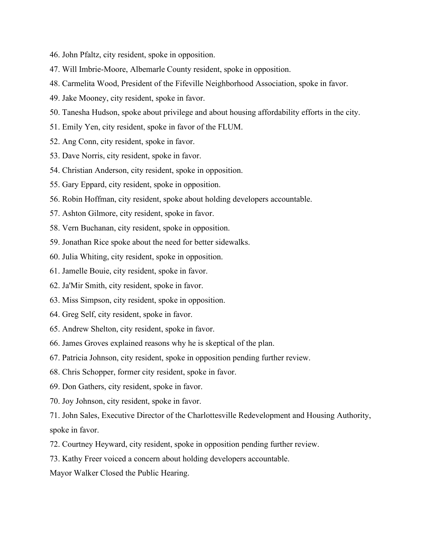- 46. John Pfaltz, city resident, spoke in opposition.
- 47. Will Imbrie-Moore, Albemarle County resident, spoke in opposition.
- 48. Carmelita Wood, President of the Fifeville Neighborhood Association, spoke in favor.
- 49. Jake Mooney, city resident, spoke in favor.
- 50. Tanesha Hudson, spoke about privilege and about housing affordability efforts in the city.
- 51. Emily Yen, city resident, spoke in favor of the FLUM.
- 52. Ang Conn, city resident, spoke in favor.
- 53. Dave Norris, city resident, spoke in favor.
- 54. Christian Anderson, city resident, spoke in opposition.
- 55. Gary Eppard, city resident, spoke in opposition.
- 56. Robin Hoffman, city resident, spoke about holding developers accountable.
- 57. Ashton Gilmore, city resident, spoke in favor.
- 58. Vern Buchanan, city resident, spoke in opposition.
- 59. Jonathan Rice spoke about the need for better sidewalks.
- 60. Julia Whiting, city resident, spoke in opposition.
- 61. Jamelle Bouie, city resident, spoke in favor.
- 62. Ja'Mir Smith, city resident, spoke in favor.
- 63. Miss Simpson, city resident, spoke in opposition.
- 64. Greg Self, city resident, spoke in favor.
- 65. Andrew Shelton, city resident, spoke in favor.
- 66. James Groves explained reasons why he is skeptical of the plan.
- 67. Patricia Johnson, city resident, spoke in opposition pending further review.
- 68. Chris Schopper, former city resident, spoke in favor.
- 69. Don Gathers, city resident, spoke in favor.
- 70. Joy Johnson, city resident, spoke in favor.
- 71. John Sales, Executive Director of the Charlottesville Redevelopment and Housing Authority, spoke in favor.
- 72. Courtney Heyward, city resident, spoke in opposition pending further review.
- 73. Kathy Freer voiced a concern about holding developers accountable.
- Mayor Walker Closed the Public Hearing.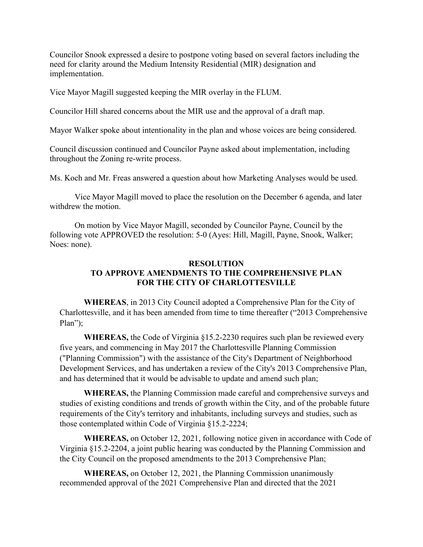Councilor Snook expressed a desire to postpone voting based on several factors including the need for clarity around the Medium Intensity Residential (MIR) designation and implementation.

Vice Mayor Magill suggested keeping the MIR overlay in the FLUM.

Councilor Hill shared concerns about the MIR use and the approval of a draft map.

Mayor Walker spoke about intentionality in the plan and whose voices are being considered.

Council discussion continued and Councilor Payne asked about implementation, including throughout the Zoning re-write process.

Ms. Koch and Mr. Freas answered a question about how Marketing Analyses would be used.

Vice Mayor Magill moved to place the resolution on the December 6 agenda, and later withdrew the motion.

On motion by Vice Mayor Magill, seconded by Councilor Payne, Council by the following vote APPROVED the resolution: 5-0 (Ayes: Hill, Magill, Payne, Snook, Walker; Noes: none).

#### **RESOLUTION TO APPROVE AMENDMENTS TO THE COMPREHENSIVE PLAN FOR THE CITY OF CHARLOTTESVILLE**

**WHEREAS**, in 2013 City Council adopted a Comprehensive Plan for the City of Charlottesville, and it has been amended from time to time thereafter ("2013 Comprehensive Plan");

**WHEREAS,** the Code of Virginia §15.2-2230 requires such plan be reviewed every five years, and commencing in May 2017 the Charlottesville Planning Commission ("Planning Commission") with the assistance of the City's Department of Neighborhood Development Services, and has undertaken a review of the City's 2013 Comprehensive Plan, and has determined that it would be advisable to update and amend such plan;

**WHEREAS,** the Planning Commission made careful and comprehensive surveys and studies of existing conditions and trends of growth within the City, and of the probable future requirements of the City's territory and inhabitants, including surveys and studies, such as those contemplated within Code of Virginia §15.2-2224;

**WHEREAS,** on October 12, 2021, following notice given in accordance with Code of Virginia §15.2-2204, a joint public hearing was conducted by the Planning Commission and the City Council on the proposed amendments to the 2013 Comprehensive Plan;

**WHEREAS,** on October 12, 2021, the Planning Commission unanimously recommended approval of the 2021 Comprehensive Plan and directed that the 2021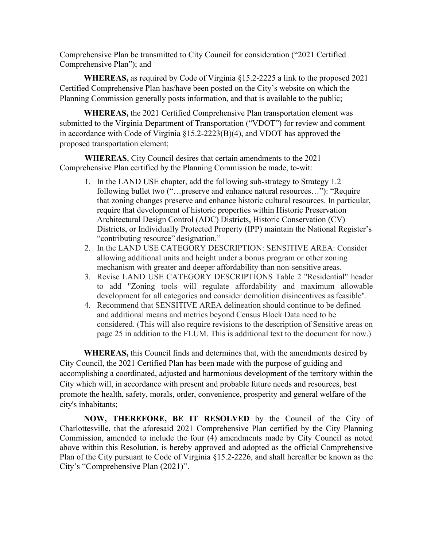Comprehensive Plan be transmitted to City Council for consideration ("2021 Certified Comprehensive Plan"); and

**WHEREAS,** as required by Code of Virginia §15.2-2225 a link to the proposed 2021 Certified Comprehensive Plan has/have been posted on the City's website on which the Planning Commission generally posts information, and that is available to the public;

**WHEREAS,** the 2021 Certified Comprehensive Plan transportation element was submitted to the Virginia Department of Transportation ("VDOT") for review and comment in accordance with Code of Virginia §15.2-2223(B)(4), and VDOT has approved the proposed transportation element;

**WHEREAS**, City Council desires that certain amendments to the 2021 Comprehensive Plan certified by the Planning Commission be made, to-wit:

- 1. In the LAND USE chapter, add the following sub-strategy to Strategy 1.2 following bullet two ("…preserve and enhance natural resources…"): "Require that zoning changes preserve and enhance historic cultural resources. In particular, require that development of historic properties within Historic Preservation Architectural Design Control (ADC) Districts, Historic Conservation (CV) Districts, or Individually Protected Property (IPP) maintain the National Register's "contributing resource" designation."
- 2. In the LAND USE CATEGORY DESCRIPTION: SENSITIVE AREA: Consider allowing additional units and height under a bonus program or other zoning mechanism with greater and deeper affordability than non-sensitive areas.
- 3. Revise LAND USE CATEGORY DESCRIPTIONS Table 2 "Residential" header to add "Zoning tools will regulate affordability and maximum allowable development for all categories and consider demolition disincentives as feasible".
- 4. Recommend that SENSITIVE AREA delineation should continue to be defined and additional means and metrics beyond Census Block Data need to be considered. (This will also require revisions to the description of Sensitive areas on page 25 in addition to the FLUM. This is additional text to the document for now.)

**WHEREAS,** this Council finds and determines that, with the amendments desired by City Council, the 2021 Certified Plan has been made with the purpose of guiding and accomplishing a coordinated, adjusted and harmonious development of the territory within the City which will, in accordance with present and probable future needs and resources, best promote the health, safety, morals, order, convenience, prosperity and general welfare of the city's inhabitants;

**NOW, THEREFORE, BE IT RESOLVED** by the Council of the City of Charlottesville, that the aforesaid 2021 Comprehensive Plan certified by the City Planning Commission, amended to include the four (4) amendments made by City Council as noted above within this Resolution, is hereby approved and adopted as the official Comprehensive Plan of the City pursuant to Code of Virginia §15.2-2226, and shall hereafter be known as the City's "Comprehensive Plan (2021)".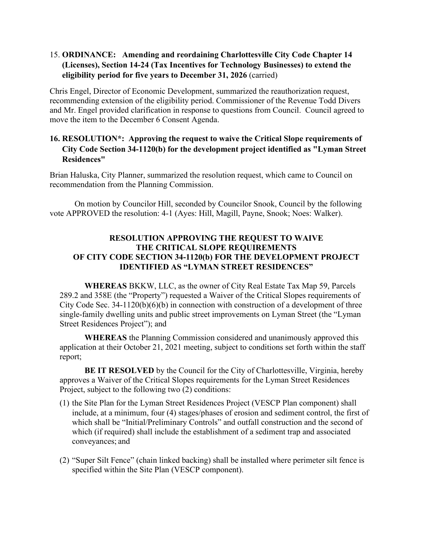# 15. **ORDINANCE: Amending and reordaining Charlottesville City Code Chapter 14 (Licenses), Section 14-24 (Tax Incentives for Technology Businesses) to extend the eligibility period for five years to December 31, 2026** (carried)

Chris Engel, Director of Economic Development, summarized the reauthorization request, recommending extension of the eligibility period. Commissioner of the Revenue Todd Divers and Mr. Engel provided clarification in response to questions from Council. Council agreed to move the item to the December 6 Consent Agenda.

# **16. RESOLUTION\*: Approving the request to waive the Critical Slope requirements of City Code Section 34-1120(b) for the development project identified as "Lyman Street Residences"**

Brian Haluska, City Planner, summarized the resolution request, which came to Council on recommendation from the Planning Commission.

On motion by Councilor Hill, seconded by Councilor Snook, Council by the following vote APPROVED the resolution: 4-1 (Ayes: Hill, Magill, Payne, Snook; Noes: Walker).

### **RESOLUTION APPROVING THE REQUEST TO WAIVE THE CRITICAL SLOPE REQUIREMENTS OF CITY CODE SECTION 34-1120(b) FOR THE DEVELOPMENT PROJECT IDENTIFIED AS "LYMAN STREET RESIDENCES"**

**WHEREAS** BKKW, LLC, as the owner of City Real Estate Tax Map 59, Parcels 289.2 and 358E (the "Property") requested a Waiver of the Critical Slopes requirements of City Code Sec. 34-1120(b)(6)(b) in connection with construction of a development of three single-family dwelling units and public street improvements on Lyman Street (the "Lyman Street Residences Project"); and

**WHEREAS** the Planning Commission considered and unanimously approved this application at their October 21, 2021 meeting, subject to conditions set forth within the staff report;

**BE IT RESOLVED** by the Council for the City of Charlottesville, Virginia, hereby approves a Waiver of the Critical Slopes requirements for the Lyman Street Residences Project, subject to the following two (2) conditions:

- (1) the Site Plan for the Lyman Street Residences Project (VESCP Plan component) shall include, at a minimum, four (4) stages/phases of erosion and sediment control, the first of which shall be "Initial/Preliminary Controls" and outfall construction and the second of which (if required) shall include the establishment of a sediment trap and associated conveyances; and
- (2) "Super Silt Fence" (chain linked backing) shall be installed where perimeter silt fence is specified within the Site Plan (VESCP component).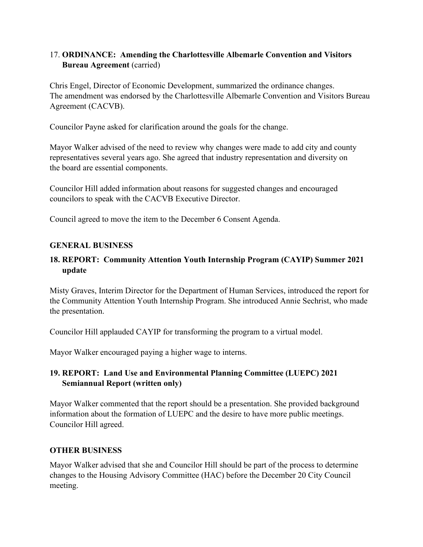# 17. **ORDINANCE: Amending the Charlottesville Albemarle Convention and Visitors Bureau Agreement** (carried)

Chris Engel, Director of Economic Development, summarized the ordinance changes. The amendment was endorsed by the Charlottesville Albemarle Convention and Visitors Bureau Agreement (CACVB).

Councilor Payne asked for clarification around the goals for the change.

Mayor Walker advised of the need to review why changes were made to add city and county representatives several years ago. She agreed that industry representation and diversity on the board are essential components.

Councilor Hill added information about reasons for suggested changes and encouraged councilors to speak with the CACVB Executive Director.

Council agreed to move the item to the December 6 Consent Agenda.

#### **GENERAL BUSINESS**

# **18. REPORT: Community Attention Youth Internship Program (CAYIP) Summer 2021 update**

Misty Graves, Interim Director for the Department of Human Services, introduced the report for the Community Attention Youth Internship Program. She introduced Annie Sechrist, who made the presentation.

Councilor Hill applauded CAYIP for transforming the program to a virtual model.

Mayor Walker encouraged paying a higher wage to interns.

# **19. REPORT: Land Use and Environmental Planning Committee (LUEPC) 2021 Semiannual Report (written only)**

Mayor Walker commented that the report should be a presentation. She provided background information about the formation of LUEPC and the desire to have more public meetings. Councilor Hill agreed.

#### **OTHER BUSINESS**

Mayor Walker advised that she and Councilor Hill should be part of the process to determine changes to the Housing Advisory Committee (HAC) before the December 20 City Council meeting.